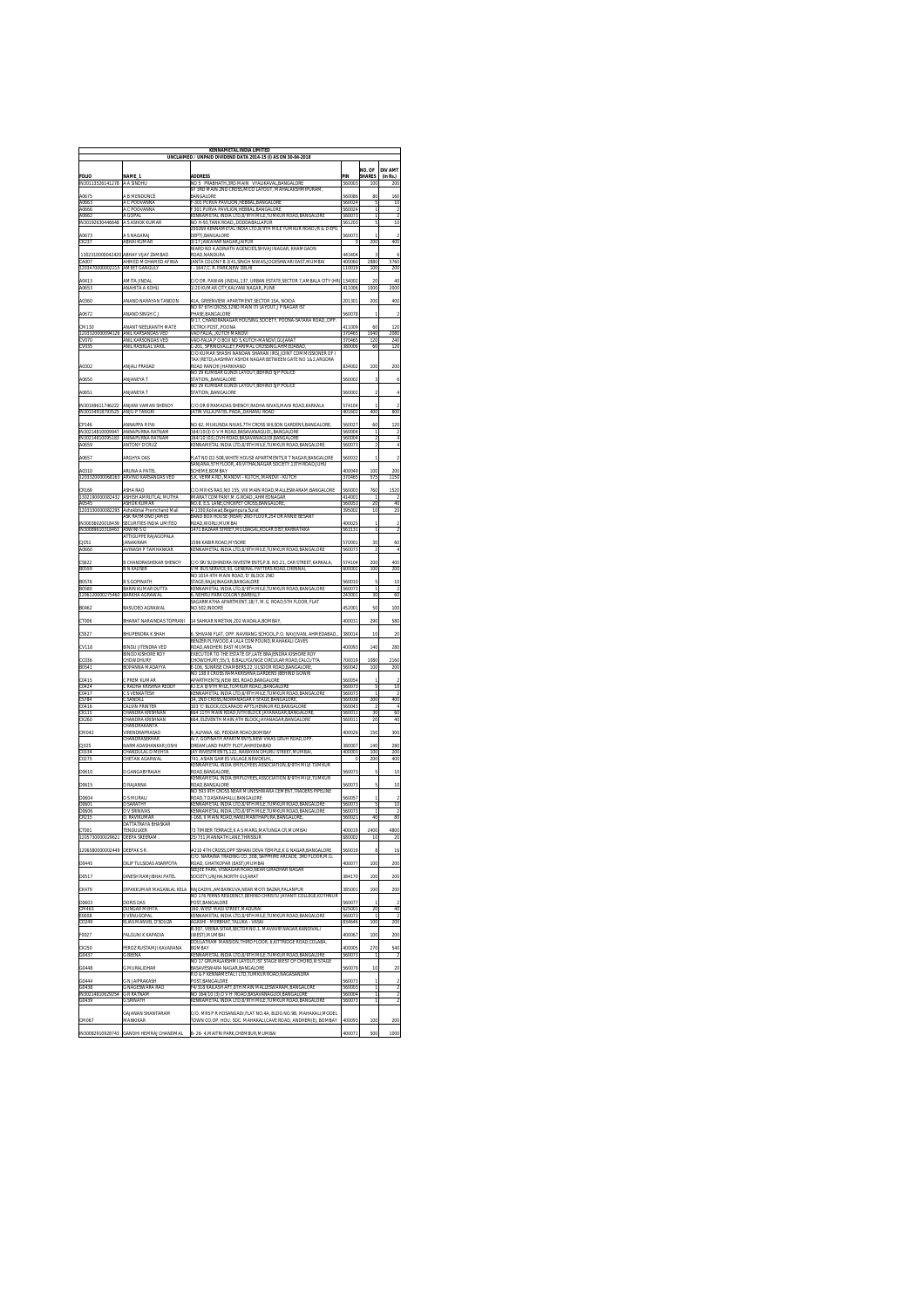| <b>KENNAMETAL INDIA LIMITED</b><br>UNCLAIMED / UNPAID DIVIDEND DATA 2014-15 (I) AS ON 30-04-201 |                                                                 |                                                                                                                                                                                                                                                       |                  |                                |                                           |  |  |  |
|-------------------------------------------------------------------------------------------------|-----------------------------------------------------------------|-------------------------------------------------------------------------------------------------------------------------------------------------------------------------------------------------------------------------------------------------------|------------------|--------------------------------|-------------------------------------------|--|--|--|
| <b>FOLIO</b><br><b>IN3011</b>                                                                   | <b>NAMF</b><br>A A SINDHU                                       | <b>ADDRESS</b><br>NO 5 PRABHATH 3RD MAIN<br>VYALIKAVAL RANGALORE                                                                                                                                                                                      | PIN<br>560003    | NO. OF<br><b>SHARES</b><br>100 | <b>DIV AMT</b><br>(in Rs.)<br>200         |  |  |  |
| A0675                                                                                           | A B MENDONCE                                                    | 97 3RD MAIN 2ND CROSS MICO LAYOUT MAHALAKSHMIPURAM<br><b>BANGALORE</b>                                                                                                                                                                                | 560086           | 80                             | 160                                       |  |  |  |
| A0663<br>A0666                                                                                  | A C POOVANNA<br>A C POOVANNA                                    | -301 PURVA PAVILION, HEBBAL, BANGALORE<br>301 PURVA PAVILION, HEBBAL, BANGALORE                                                                                                                                                                       | 560024<br>560024 | $\overline{5}$<br>ī            | 10<br>$\overline{2}$                      |  |  |  |
| A0662<br>IN30192630446648                                                                       | A GOPAL<br>A S ASHOK KUMAR                                      | KENNAMETAL INDIA LTD,8/9TH MILE,TUMKUR ROAD,BANGALOR<br>NO H-93.TANK ROAD. DODDABALLAPUR                                                                                                                                                              | 560073<br>561203 | ī<br>5                         | $\overline{2}$<br>10                      |  |  |  |
| A0673                                                                                           | A S NAGARAJ                                                     | 200269 KENNAMETAL INDIA LTD,8/9TH MILE<br>ROAD (R & D EPG<br>DEPT).BANGALORE                                                                                                                                                                          | 560073           |                                |                                           |  |  |  |
| CK237<br>1302310000042420                                                                       | ABHAI KUMAR<br>ARHAY VIJAY ZAMRAD                               | 3/17 JAWAHAR NAGAR JAIPUR<br>WARD NO 4 ADINATH AGENCIES SHIVAJI NAGAR. KHAMGAON<br>ROAD NANDURA                                                                                                                                                       | 443404           | 200<br>3                       | 400<br>6                                  |  |  |  |
| CA007                                                                                           | AHMED MOHAMED AFINIA<br>AMEET GANGULY                           | JANTA COLONY B 3/41,SINGH NIWAS,JOGESHWARI EAST,MUMBAI<br>- 1647.C. R. PARK.NEW DELHI                                                                                                                                                                 | 400060<br>110019 | 2880<br>100                    | 5760                                      |  |  |  |
| 1203470000002215<br>A0413                                                                       | AMITA JINDAL                                                    |                                                                                                                                                                                                                                                       | 134002           | 20                             | 200<br>40                                 |  |  |  |
| A0653                                                                                           | ANAHITA A KOHLI                                                 | :/O DR. PAWAN JINDAL, 137, URBAN ESTATE, SECTOR 7, AMBALA CITY (HR)<br>1/20 KUMAR CITY.KALYANI NAGAR. PUNE                                                                                                                                            | 411006           | 1000                           | 2000                                      |  |  |  |
| A0360<br>A0672                                                                                  | ANAND NARAYAN TANDON<br>ANAND SINGH C J                         | 41A, GREENVIEW APARTMENT, SECTOR 15A, NOIDA<br>NO 97 6TH CROSS,32ND MAIN ITI LAYOUT,J P NAGAR IST<br>PHASE.BANGALORE                                                                                                                                  | 201301<br>560078 | 200                            | 400<br>$\overline{\mathbf{c}}$            |  |  |  |
| CM130                                                                                           | ANANT NEELKANTH MATE                                            | 9/17. CHANDRANAGAR HOUSING SOCIETY. POONA-SATARA ROADOPP<br>OCTROI POSTPOONA                                                                                                                                                                          | 411009           | 60                             | 120                                       |  |  |  |
| 1203320000<br><b>CV070</b>                                                                      | ANIL KARSANDAS VED<br>ANIL KARSONDAS VED                        | VAD FALIA  KUTCH MANDVI<br>VAD-FALIA P O BOX NO 5.KUTCH-MANDVI.GUJARA                                                                                                                                                                                 | 370465<br>370465 | 1040<br>120                    | 2080<br>240                               |  |  |  |
| CVO3!<br>A0302                                                                                  | anil Rasiklal vakil<br>ANJALI PRASAD                            | -201, SPRINGVALLEY, PARIMAL CROSSING, AHMEDABAL<br>C/O KUMAR SHASHI NANDAN SHARAN (IRS) JOINT COMMISSIONER OF I<br>TAX (RETD) AASHRAY ASHOK NAGAR BETWEEN GATE NO 1&2 ARGORA<br>ROAD RANCHI JHARKHAND<br>NO 29 KUMBAR GUNDI LAYOUT, BEHIND SJP POLICE | 380006<br>834002 | 100                            | 120<br>200                                |  |  |  |
| A0650                                                                                           | ANJANEYA T                                                      | STATION, BANGALORE<br>NO 29 KUMBAR GUNDI LAYOUT BEHIND SJP POLICE                                                                                                                                                                                     | 560002           |                                | 6                                         |  |  |  |
| A0651                                                                                           | ANJANEYA T                                                      | STATION, BANGALORE                                                                                                                                                                                                                                    | 560002           | $\overline{2}$                 | $\ddot{4}$                                |  |  |  |
| IN30169611746222<br>IN30154918793525                                                            | ANJANI VAMAN SHENOY<br>ANJU P TANGRI                            | C/O DR B RAMADAS SHENOY,RADHA NIVAS,MAIN ROAD,KARKALA<br>JATIN VILLA, PATEL PADA, DAHANU ROAD                                                                                                                                                         | 574104<br>401602 | 400                            | $\overline{2}$<br>800                     |  |  |  |
| CP146                                                                                           | ANNAPPA R PAI                                                   | NO 62. MUKUNDA NIVAS.7TH CROSS WILSON GARDENS.BANGALORE                                                                                                                                                                                               | 560027           | 60                             | 120                                       |  |  |  |
| IN30214810009947<br>IN30214810095183                                                            | ANNAPURNA RATNAM<br>ANNAPURNA RATNAM                            | 164/10(3) O V H ROAD BASAVANAGUDIBANGALORE<br>164/10 (03) OVH ROAD BASAVANAGUDI BANGALORI                                                                                                                                                             | 560004<br>560004 |                                | $\overline{2}$<br>$\overline{4}$          |  |  |  |
| A0659                                                                                           | <b>ANTONY D'CRUZ</b>                                            | (ENNAMETAL INDIA LTD,8/9TH MILE,TUMKUR ROAD,BANG                                                                                                                                                                                                      | 560073           | 2                              | $\overline{4}$                            |  |  |  |
| A0657                                                                                           | <b>ARGHYA DAS</b>                                               | FLAT NO D2-508.WHITE HOUSE APARTMENTS.R T NAGAR.BANGALORE<br>SANJANA 5TH FLOOR49.VITHALNAGAR SOCIETY.13TH ROAD JUHU                                                                                                                                   | 560032           | ï                              | $\overline{a}$                            |  |  |  |
| A0310<br>1203320000068163                                                                       | ARUNA A PATEL<br>ARVIND KARSANDAS VED                           | SCHEME, BOMBAY<br>S.K. VERMA RD, MANDVI - KUTCH, MANDVI - KUTCH                                                                                                                                                                                       | 400049<br>370465 | 100<br>575                     | 200<br>1150                               |  |  |  |
| CR165                                                                                           | <b>DASHARA</b>                                                  | /O MR KS RAO.NO 155. VIII MAIN ROAD.MALLESWARAM.BANGALORE                                                                                                                                                                                             | 560003           | 760                            | 1520                                      |  |  |  |
| 1302190000082432<br>A0545                                                                       | ASHISH AMRUTLAL MUTHA<br>ASHOK KUMAR                            | IMARAT COMPANY.M.G.ROADAHMEDNAGAR<br>NO.B, E.S. LANE, CHICKPET CROSS, BANGALORE                                                                                                                                                                       | 414001<br>560053 | 20                             | 40                                        |  |  |  |
| 1203330000082295                                                                                | Ashokbhai Premchand Mali<br>ASK RAYMOND JAMES                   | 4/1330, Koliwad, Begampura, Surat<br>BAND BOX HOUSE (REAR) 2ND FLOOR,254 DR ANNIE BESANT                                                                                                                                                              | 395002           | 10                             | 20                                        |  |  |  |
| IN30036020018439<br>IN30089610318463                                                            | SECURITIES INDIA LIMITED<br>ASWINI S G                          | ROAD, WORLI, MUMBAI<br>1471 BAZAAR STREET MULBAGAL KOLAR DIST KARNATAKA                                                                                                                                                                               | 400025<br>563131 | 1                              | $\overline{2}$<br>$\overline{\mathbf{z}}$ |  |  |  |
| CJ051<br>A0660                                                                                  | ATTIGUPPE RAJAGOPALA<br><b>JANAKIRAM</b><br>AVINASH P TAMHANKAR | 1596 KABIR ROAD, MYSORE<br>KENNAMETAL INDIA LTD,8/9TH MILE,TUMKUR ROAD,BANGALOR                                                                                                                                                                       | 570001<br>560073 | 30                             | 60<br>$\overline{4}$                      |  |  |  |
| CS622                                                                                           | R CHANDRASHEKAR SHENOV                                          | :/O SRI SUDHINDRA INVESTMENTS.P.B. NO.21. CAR STREET.KARKALA                                                                                                                                                                                          | 574104           | 200                            | 400                                       |  |  |  |
| B0559                                                                                           | B N KADSER                                                      | V M BUS SERVICE, 93, GENERAL PATTERS ROAD, CHENNAI,<br>NO 1014 4TH MAIN ROAD. D' BLOCK 2ND                                                                                                                                                            | 600002           | 100                            | 200                                       |  |  |  |
| B0576<br><b>BOS80</b>                                                                           | <b>B S GOPINATH</b><br>RARIN KUMAR DUTTA                        | <b>STAGE, RAJAJINAGAR, BANGALORE</b><br>KENNAMETAL INDIA LTD.8/9TH MILE<br>TUMKUR ROAD, BANGALOR                                                                                                                                                      | 560010<br>560073 | 5<br>1                         | 10<br>2                                   |  |  |  |
| 1206120000275460                                                                                | BARKHA AGRAWAL                                                  | 6 NEHRLI PARK COLONY RAREILLY<br>SAGARMATHA APARTMENT.18/7. M.G. ROAD.5TH FLOOR. FLAT                                                                                                                                                                 | 243001           | 30                             | 60                                        |  |  |  |
| B0462                                                                                           | <b>BASUDEO AGRAWAL</b>                                          | NO.502, INDORE                                                                                                                                                                                                                                        | 452001           | 50<br>290                      | 100                                       |  |  |  |
| CT006<br>CS527                                                                                  | BHARAT NARAINDAS TOPRANI                                        | 14 SAHKAR NIKETAN,202 WADALA,BOMBAY,<br>SHIVANI FLAT. OPP. NAVRANG SCHOOL,P.O. NAVJIVAN, AHMEDABAD                                                                                                                                                    | 400031<br>380014 | 10                             | 580                                       |  |  |  |
| CV118                                                                                           | BHUPENDRA K SHAH<br>BINDU JITENDRA VED                          | BENZER PLYWOOD,4 LALA COMPOUND,MAHAKALI CAVES<br>ROAD, ANDHERI EAST MUMBA                                                                                                                                                                             | 400093           | 140                            | 20<br>280                                 |  |  |  |
| CCO36                                                                                           | BINOD KISHORE ROY<br>CHOWDHURY                                  | EXECUTOR TO THE ESTATE OF LATE BRAJENDRA KISHORE ROY<br>CHOWDHURY,55/3, B.BALLYGUNGE CIRCULAR ROAD,CALCUTTA                                                                                                                                           | 700019           | 1080                           | 2160                                      |  |  |  |
| B0541                                                                                           | SOPANNA MADAYYA                                                 | -106. SUNRISE CHAMBERS.22. ULSOOR ROAD.BANGALORE<br>NO 138 II CROSS RAMAKRISHNA, GARDENS (BEHIND GOWRI                                                                                                                                                | 560042           | 100                            | 200                                       |  |  |  |
| C0415<br>C0424                                                                                  | C PREM KUMAR<br>C RADHA KRISHNA REDDY                           | APARTMENTS), NEW BEL ROAD, BANGALORE<br>K.I.E.A 8/9TH MILE,TUMKUR ROAD, BANGALORE                                                                                                                                                                     | 560054<br>560073 | 1<br>5                         | $\overline{2}$<br>10                      |  |  |  |
| C0417<br>CS784                                                                                  | <b>S VENKATESH</b><br>SANDILL                                   | KENNAMETAL INDIA LTD, 8/9TH MILE, TUMKUR ROAD, BANGALORE<br>34. 2ND CROSS INDIRANAGAR II STAGE BANGALORE                                                                                                                                              | 560073<br>560038 | 1<br>200                       | 400                                       |  |  |  |
| C0416<br>CK115                                                                                  | ALVIN PRINTER<br>CHANDRA KRISHNAN                               | 103 °C' BLOCK, COLARADO APTS, HENNUR RD, BANGALORE<br>664 11TH MAIN ROAD, IVTH BLOCK JAYANAGAR, BANGALORE                                                                                                                                             | 560043<br>560011 | 30                             | $\overline{4}$<br>60                      |  |  |  |
| CK260                                                                                           | :HANDRA KRISHNAN<br>CHANDRAKANTA                                | 664, ELEVENTH MAIN, 4TH BLOCK, JAYANAGAR, BANGALOR                                                                                                                                                                                                    | 560011           | 20                             | 40                                        |  |  |  |
| CM042                                                                                           | VIRENDRAPRASAD<br>CHANDRASEKHAR                                 | 9. ALPANA, 60. PEDDAR ROAD BOMBAY<br>A/7, GOPINATH APARTMENTS, NEW VIKAS GRUH ROAD, OPP.                                                                                                                                                              | 400026           | 150                            | 300                                       |  |  |  |
| CJ025<br>C0334                                                                                  | NARMADASHANKAR JOSHI<br><b><i>EHANDULAL D MEHTA</i></b>         | DREAMLAND PARTY PLOT, AHMEDABAD<br>JAY INVESTMENTS,122, NARAYAN DHURU STREET,MUMBAL                                                                                                                                                                   | 380007<br>400003 | 140<br>100                     | 280<br>200                                |  |  |  |
| C0275                                                                                           | CHETAN AGARWAI                                                  | 741. ASIAN GAMES VILLAGE NEWDELHI<br>KENNAMETAL INDIA EMPLOYEES ASSOCIATION 8/9TH MILE TUMKUR                                                                                                                                                         | $\theta$         | 200                            | 400                                       |  |  |  |
| D0610                                                                                           | D GANGABYRAIAH                                                  | ROAD BANGALORE<br>KENNAMETAL INDIA EMPLOYEES, ASSOCIATION 8/9TH MILE, TUMKUR                                                                                                                                                                          | 560073           |                                | 10                                        |  |  |  |
| D0615                                                                                           | D RAJANNA                                                       | ROAD, BANGALORE<br>NO 593 9TH CROSS NEAR MUNESHWARA CEMENT.TRADERS PIPELINE                                                                                                                                                                           | 560073           |                                | 10                                        |  |  |  |
| DO604<br>D0601                                                                                  | D S MI IRAH<br><b>D SARATHY</b>                                 | ROAD T DASARAHALLI RANGALORE<br>KENNAMETAL INDIA I TD 8/9TH MILE TUMKUR ROAD BANGALORE                                                                                                                                                                | 560057<br>560073 | 5                              | ž,<br>10                                  |  |  |  |
| D0606<br>CR215                                                                                  | D V SRINIVA!<br>D. RAVIKUMAR<br>DATTATRAYA RHASKAR              | KENNAMETAL INDIA LTD,8/9TH MILE,TUMKUR ROAD,BANGALORE<br>-168, II MAIN ROAD, HANUMANTHAPURA, BANGALORE                                                                                                                                                | 560073<br>560021 | 40                             | 80                                        |  |  |  |
| CT001                                                                                           | TENDULKER                                                       | 73 TIMBER TERRACE,K A S MARG,MATUNGA CR,MUMBAL                                                                                                                                                                                                        | 400019           | 2400                           | 4800                                      |  |  |  |
| 120573000002                                                                                    | DEEPA SREERAM                                                   | 25/731.MANNATH LANE.THRISSUR<br>210 4TH CROSS.OPP SSHANI DEVA TEMPLE.K G NAGAR BANGALORE                                                                                                                                                              | 680002           | 10                             | 20                                        |  |  |  |
| 1206580000002449 DEEPAK S R                                                                     |                                                                 | C/O. NARAINA TRADING CO., 308, SAPPHIRE ARCADE, 3RD FLOOR,M.G                                                                                                                                                                                         | 560019           | 8<br>100                       | 16                                        |  |  |  |
| D0445<br>D0517                                                                                  | DILIP TULSIDAS ASARPOTA<br>DINESH RAMJIBHAI PATEL               | ROAD, GHATKOPAR (EAST), MUMBAI<br>SEEJEE PARK, VISNAGAR ROAD NEAR GIRADHAR NAGAR<br>SOCIETY.UNJHA.NORTH GUJARAT                                                                                                                                       | 400077<br>384170 | 100                            | 200<br>200                                |  |  |  |
| CK479                                                                                           | DIPAKKUMAR MAGANLAL KELA                                        | RAJGADHIAMBARKUVA.NEAR MOTI BAZAR.PALANPUR<br>NO 176 FERNS RESIDENCY.BEHIND CHRISTU JAYANTI COLLEGE KOTHNUR                                                                                                                                           | 385001           | 100                            | 200                                       |  |  |  |
| D0603<br>CM463                                                                                  | DORIS DAS<br>DUNGAR MEHTA                                       | POST.BANGALORE<br>160, WEST MASI STREET, MADURAI                                                                                                                                                                                                      | 560077<br>625001 | 1<br>20                        | $\overline{2}$<br>40                      |  |  |  |
| E0008<br>CD249                                                                                  | VENUGOPAL<br>ELIAS MANVEL D'SOUZA                               | KENNAMETAL INDIA LTD,8/9TH MILE,TUMKUR ROAD,BANGALORE<br>AGASHI - MERBHAT,TALUKA - VASAI                                                                                                                                                              | 560073<br>834646 | 1<br>100                       | 200                                       |  |  |  |
| F0027                                                                                           | FALGUNI K KAPADIA                                               | B-307, VEENA SITAR, SECTOR NO.1, MAVAVIR NAGAR, KANDIVALI<br>(WEST).MUMBAI                                                                                                                                                                            | 400067           | 100                            | 200                                       |  |  |  |
| CK250                                                                                           | EROZ RUSTAMJI KAVARANA                                          | DOLILATRAM MANSION THIRD FLOOR & KITTRIDGE ROAD COLARA<br>BOMBAY                                                                                                                                                                                      | 400005           | 270                            | 540                                       |  |  |  |
| G0437                                                                                           | G BEENA                                                         | KENNAMETAL INDIA LTD,8/9TH MILE,TUMKUR ROAD,BANGALOR<br>NO 17 GRUHALAKSHMI LAYOUT,IST STAGE WEST OF CHORD,III STAGE                                                                                                                                   | 560073           |                                | 2                                         |  |  |  |
| G0448                                                                                           | <b>G MURALIDHAR</b>                                             | BASAVESWARA NAGAR.BANGALORE<br>R D & F KENNAMETAL I LTD.TUMKUR ROAD.NAGASANDRA                                                                                                                                                                        | 560079           | 10                             | 20                                        |  |  |  |
| G0444<br>G0438                                                                                  | G N JAIPRAKASH<br>G NAGESWARA RAC                               | POST.BANGALORE<br>.<br>F4/318 KAILASH APT,8TH MAIN MALLESWARAM,BANGALOR                                                                                                                                                                               | 560073<br>560003 | ï<br>ī                         | $\overline{2}$                            |  |  |  |
| IN3021481062<br>G0439                                                                           | G R RATNAM<br><b>G SRINATH</b>                                  | NO 164/10 (3),O V H ROAD,BASAVANAGUDI,BANGALORE<br>KENNAMETAL INDIA LTD, 8/9TH MILE, TUMKUR ROAD, BANGALORE                                                                                                                                           | 560004<br>560073 | ī<br>1                         | $\overline{\mathbf{z}}$<br>2              |  |  |  |
|                                                                                                 | GAJANAN SHANTARAM                                               | C/O. MRS P R HOSANGADI.FLAT NO.4A. BLDG NO.9B. MAHAKALI.MODEL                                                                                                                                                                                         |                  |                                |                                           |  |  |  |
| CM067                                                                                           | MANKIKAR                                                        | TOWN CO.OP. HOU. SOC. MAHAKALI,CAVE ROAD, ANDHERI(E), BOMBAY                                                                                                                                                                                          | 400093           | 100                            | 200                                       |  |  |  |
|                                                                                                 | IN30082910928743 GANDHI HEMRAJ CHANDMAL                         | B- 26- 4.MAITRI PARK.CHEMBUR.MUMBAI                                                                                                                                                                                                                   | 400071           | 500                            | 1000                                      |  |  |  |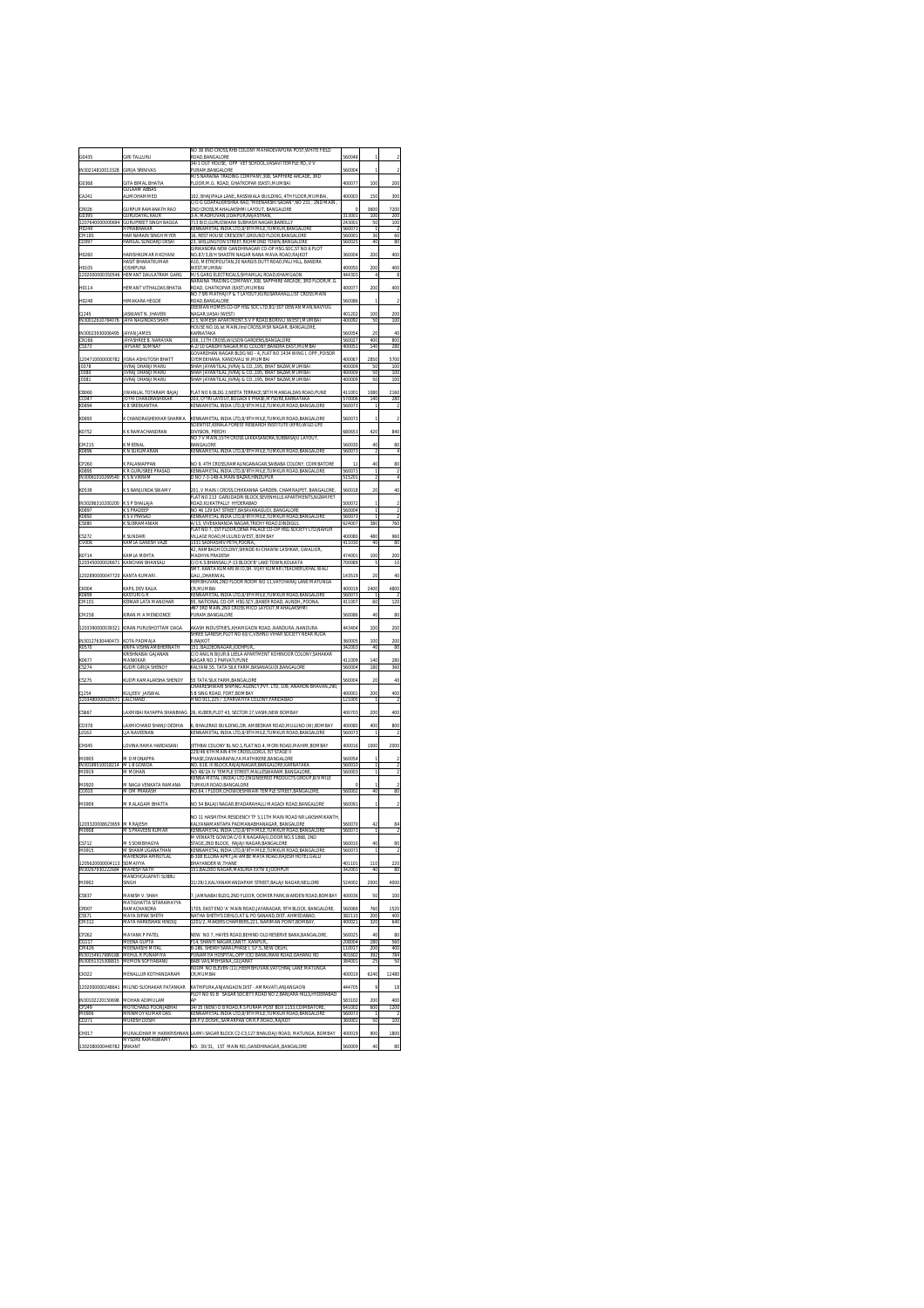| G0435                                        | <b>SIRI TALLURU</b>                                  | NO 38 IIND CROSS, RHB COLONY MAHADEVAPURA POST, WHITE FIELD<br>ROAD, BANGALORE                                                                       | 560048           |                     |                                  |
|----------------------------------------------|------------------------------------------------------|------------------------------------------------------------------------------------------------------------------------------------------------------|------------------|---------------------|----------------------------------|
| IN30214810013328                             | <b>GIRLIA SRINIVAS</b>                               | 34/1 OUT HOUSE. OPP VET SCHOOL VASAVI TEMPLE RD. V V<br>PURAM.BANGALORE<br>M/S NARAINA TRADING COMPANY.308. SAPPHIRE ARCADE. 3RD                     | 560004           | ï                   | $\overline{2}$                   |
| G0368                                        | <b>GITA BIMAL BHATIA</b><br>GULAAM ABBAS             | FLOOR M.G. ROAD. GHATKOPAR (EAST).MUMBAI                                                                                                             | 400077           | 100                 | 200                              |
| CA241                                        | ALIMOHAMMED                                          | 102. BHAJIPALA LANERASSIWALA BUILDING. 4TH FLOOR.MUMBAI<br>C/O G GOAPALKRISHNA RAO."MEENAKSHI SADAN".NO 231 . 2ND MAIN .                             | 400003           | 150                 | 300                              |
| CR026<br>G0395                               | <b>SURPUR RAMANATH RAO</b><br>GURUDAYAL KAUR         | 2ND CROSS MAHALAKSHMI LAYOUT. BANGALORE<br>3-A, MADHUVAN, UDAIPUR, RAJASTHAN                                                                         | 313001           | 3600<br>100         | 7200<br>200                      |
| 12076<br>H0249                               | <b>SURUPREET SINGH</b><br>H PRARHAKAR                | 713 B/D, GURUDWARA SUBHASH NAGAR, BAREILLY<br>KENNAMETAL INDIA LTD,8/9TH MILE,TUMKUR,BANGALORE                                                       | 243001<br>560073 | 50<br>ï             | 100                              |
| CM185<br>CD097                               | HAR NARAIN SINGH MYER<br>HARILAL SUNDARJI DESAI      | 16, REST HOUSE CRESCENT, GROUND FLOOR BANGALORE<br>23. WELLINGTON STREET.RICHMOND TOWN.BANGALORE                                                     | 560001<br>560025 | 30<br>40            | h<br>80                          |
| H0260                                        | HARISHKUMAR R KOYANI                                 | GIRIKANDRA NEW GANDHINAGAR CO-OP HSG.SOC,ST NO.6 PLOT<br>NO.87/3,B/H SHASTRI NAGAR NANA MAVA ROAD,RAJKOT                                             | 360004           | 200                 | 400                              |
| <b>HO105</b>                                 | HASIT BHARATKUMAR<br><b>IOSHIPLIRA</b>               | A10, METROPOLITAN, 20 NARGIS DUTT ROAD, PALI HILL, BANDRA<br>WEST.MUMBAI                                                                             | 400050           | 200                 | 400                              |
| 1202000                                      | HEMANT DAULATRAM GAR(                                | M/S GARG ELECTRICALS.SHYAMLAL ROAD.KHAMGAON<br>NARAINA TRADING COMPANY, 308, SAPPHIRE ARCADE, 3RD FLOOR,M.G                                          | 444303           |                     | 8                                |
| H0114                                        | <b>IEMANT VITHALDAS BHATIA</b>                       | ROAD, GHATKOPAR (EAST), MUMBAI<br>NO 7 SRI MATHAJI P & T LAYOUT, KURUSARAHALLI, IST CROSS MAIN                                                       | 400077           | 200                 | 400                              |
| H0248                                        | HIMAKARA HEGDE                                       | ROAD RANGALORE<br>DEEWAN HOMES CO-OP HSG SOC LTD.B1/307 DEWAN MAN.NAVYUG                                                                             | 60086            | 1                   | $\overline{a}$                   |
| CJ245<br>IN30012                             | ASWANT N. JHAVERI<br><b>JAYA NAGINDAS SHAH</b>       | NAGAR, VASAI (WEST)<br>C/3, NIMESH APARTMENT,S V P ROAD,BORIVLI (WEST),MUMBAI                                                                        | 401202<br>400092 | 100<br>50           | 200<br>100                       |
| IN30023930006495                             | AVAN JAMES                                           | HOUSE NO.16, Ist MAIN, IInd CROSS, MSR NAGAR, BANGALORE,<br>KARNATAKA                                                                                | 560054           | $\overline{20}$     | 40                               |
| <b>CN166</b><br>CS373                        | JAYASHREE B. NARAYAN<br>JAYVANT SOMNAY               | 206 11TH CROSS WILSON GARDENS BANGALORE<br>A-2/10 GANDHI NAGAR, MIG COLONY, BANDRA EAST, MUMBAI                                                      | 560027<br>400051 | 400<br>140          | 800<br>280                       |
|                                              | <b>JIGNA ASHUTOSH BHATT</b>                          | GOVARDHAN NAGAR BLDG NO - 4, FLAT NO 1434 WING I, OPP., POISOR<br>GYEMEKHANA, KANDIVALI W,MUMBAI                                                     | 400067           | 2850                | 5700                             |
| 1204710000000782<br>J0378<br>J0380           | JIVRAJ DHANJI MARU<br>JIVRAJ DHANJI MARU             | SHAH JAYANTILAL JIVRAJ & CO., 195, BHAT BAZAR,MUMBAI<br>SHAH JAYANTILAL JIVRAJ & CO195. BHAT BAZAR MUMBAI                                            | 400009<br>400009 | 50<br>50            | 100<br>100                       |
| 10381                                        | <b>JIVRAJ DHANJI MARU</b>                            | SHAH JAYANTILAL JIVRAJ & CO., 195. BHAT BAZAR MUMBAI                                                                                                 | 400009           | 50                  | 100                              |
| CB060<br>CC047<br>K0894                      | <b>JIWANLAL TOTARAM BAJAJ</b><br>JOTHI CHANDRASHEKAR | FLAT NO 6 BLDG 2, NEETA TERRACE, SETH MANGALDAS ROAD, PUNE<br>203, CFTRI LAYOUT, BOGADI II PHASE, MYSORE, KARNATAKA                                  | 41100<br>570006  | 1080<br>140         | 2160<br>280                      |
|                                              | K R SREEKANTHA                                       | KENNAMETAL INDIA LTD.8/9TH MILE.TUMKUR ROAD.BANGALORI                                                                                                | 560073           | 1                   |                                  |
| K0893                                        | K CHANDRASHEKHAR SHARMA                              | KENNAMETAL INDIA LTD, 8/9TH MILE, TUMKUR ROAD, BANGALORE<br>SCIENTIST, KERALA FOREST RESEARCH INSTITUTE (KFRI), WILD LIFE                            | 560073           |                     | 2                                |
| K0752                                        | K RAMACHANDRAN                                       | DIVISION, PEECHI<br>NO 7 V MAIN, 15TH CROSS LAKKASANDRA, SUBBASAJU LAYOUT                                                                            | 680653           | 420                 | 840                              |
| CM215<br>K0896                               | K MFFNAI<br>( N SUKUMARAN                            | <b>BANGALORE</b><br>KENNAMETAL INDIA LTD,8/9TH MILE,TUMKUR ROAD,BANGALOR                                                                             | 560030<br>560073 | 40<br>2             | 80<br>4                          |
| CP260                                        | K PALANIAPPAN                                        | NO 9.<br>4TH CROSS, RAMALINGANAGAR, SAIBABA COLONY, COIMBATORE                                                                                       | $\overline{1}$   | 40                  | 80                               |
| K0895<br>IN30061010269540                    | K R GURUSREE PRASAE<br>K S N VIKRAM                  | KENNAMETAL INDIA LTD.8/9TH MILE.TUMKUR ROAD.BANGALORE<br>D NO 7-3-148-A.MAIN BAZAR.HINDUPUR                                                          | 560073<br>515201 | 1<br>$\overline{2}$ | $\overline{z}$<br>$\overline{4}$ |
| K0539                                        | K S NANJUNDA SWAMY                                   | 201, V MAIN I CROSS,CHIKKANNA GARDEN, CHAMRAJPET, BANGALORE                                                                                          | 560018           | 20                  | 40                               |
| IN30286310200200                             | K SP SHAILAIA                                        | FLAT NO 213 GARUDADRI BLOCK, SEVENHILLS APARTMENTS, NIZAMPET<br>ROAD.KUKATPALLY HYDFRARAD                                                            | 500072           | f,                  | $\frac{2}{2}$                    |
| K0897<br>K0892<br>CS080                      | K S PRADEEP<br>S V PRASAD                            | NO 46 129 EAT STREET.BASAVANAGUDI BANGALORE<br>KENNAMETAL INDIA LTD.8/9TH MILE.TUMKUR ROAD.BANGALORI                                                 | 560004<br>560073 | 1<br>1              | 2                                |
| CS272                                        | K SUBRAMANIAN<br><b>SLINDARI</b>                     | A/13, VIVEKANANDA NAGAR,TRICHY ROAD,DINDIGUL<br>FLAT NO 7, 1ST FLOOR, DENA PALACE CO-OP HSG SOCIETY LTD, NAHUR<br>VII I AGE ROAD.MULUND WEST, BOMBAY | 624007<br>400080 | 380<br>480          | 760<br>960                       |
| CV006                                        | KAMLA GANESH VAZE                                    | 1331 SADHASHIV PETH POONA<br>42. RAMBAGH COLONY.SHINDE-KI-CHAWNI LASHKAR. GWALIOR                                                                    | 411030           | 40                  | 80                               |
| K0714<br>1203450000026671                    | KAMLA MEHTA<br><b>CANCHAN BHANSALI</b>               | MADHYA PRADESH<br>:/O K.S.BHANSALI,P-13 BLOCK'B' LAKE TOWN,KOLKATA                                                                                   | 474001<br>700089 | 100                 | 200<br>10                        |
|                                              | KANTA KUMARI                                         | SMT. KANTA KUMARI W/O,SH. VIJAY KUMAR (TEACHER),KHAL WALI<br>GALL DHARIWAL                                                                           |                  | 20                  | 40                               |
| 1202890000047720<br>CK004                    | KAPIL DEV KALIA                                      | HEMBHUVAN 2ND FLOOR ROOM NO 11.VATCHARAJ LANE MATUNGA<br>CR.MUMBAI                                                                                   | 143519<br>400019 | 2400                | 4800                             |
| K0899<br>CM101                               | (ASTURI G R<br>KERKAR LATA MANOHA                    | KENNAMETAL INDIA LTD,8/9TH MILE,TUMKUR ROAD,BANGALORI<br>95, NATIONAL CO-OP. HSG.SCY.,BANER ROAD, AUNDH.,POONA                                       | 560073<br>411007 | 60                  | 120                              |
| CM258                                        | KIRAN M A MENDONCE                                   | #97 3RD MAIN.2ND CROSS MICO LAYOUT.MAHALAKSHMI<br>PURAM.BANGALORE                                                                                    | 560086           | 40                  | 80                               |
| 1203390000039321                             | KIRAN PURUSHOTTAM DAGA                               | AKASH INDUSTRIES, KHAMGAON ROAD, NANDURA, NANDURA                                                                                                    | 443404           | 100                 | 200                              |
| IN3012763044047                              | COTA PADMAIA                                         | SHREE GANESH, PLOT NO 63/C, VISHNU VIHAR SOCIETY NEAR RUDA<br><b>II RAIKOT</b>                                                                       | 360005           | 100                 | 200                              |
| K0570                                        | KRIPA VISHWAMBHERNATH<br>KRISHNABAI GAJANAN          | 151. BALDEONAGAR JODHPUR.<br>C/O ANIL N BUUR,6 LEELA APARTMENT KOHINOOR COLONY,SAHAKAR                                                               | 342003           | 40                  | 80                               |
| K0677<br>CS274                               | MANKIKAR<br>KUDPI GIRIJA SHENOY                      | NAGAR NO 2 PARVATI,PUNE<br>KALYANI, 55, TATA SILK FARM, BASANAGUDI, BANGALORI                                                                        | 411009<br>560004 | 140<br>180          | 280<br>360                       |
| CS275                                        | KUDPI KAMALAKSHA SHENOY                              | 55 TATA SILK FARM BANGALORE                                                                                                                          | 560004           | 20                  | 40                               |
| CJ254<br>1203480000020571                    | KULJEEV JAISWAL                                      | CHAKRESHWARI SHIPING AGENCY PVT. LTD. 109. ANAHDN BHAVAN.290.<br>S B SING ROAD, FORT, BOMBAY                                                         | 400001           | 200                 | 400                              |
|                                              | LALCHAND                                             | H NO 911,225 / 3,PARVATIYA COLONY,FARIDABAD                                                                                                          | 121005           |                     |                                  |
| CS667                                        | LAXMIBAI RAYAPPA SHANBHAG                            | 26. KUBER PLOT 43. SECTOR 17.VASHI NEW BOMBAY                                                                                                        | 400703           | 200                 | 400                              |
| CD378<br>L0163                               | AXMICHAND SHANJI DEDHIA<br>LIA NAVEENAN              | 6, BHALERAO BUILDING, DR. AMBEDKAR ROAD, MULUND (W), BOMBAY<br>KENNAMETAL INDIA LTD, 8/9TH MILE, TUMKUR ROAD, BANGALORI                              | 400080<br>560073 | 400                 | 800<br>2                         |
| CH045                                        | OVINA RAMA HARDASANI                                 | JETHBAI COLONY BL NO.1.FLAT NO.4. MORI ROAD MAHIM.BOMBAY                                                                                             | 400016           | 1000                | 2000                             |
| M0905<br>IN30189510018214                    | <b>MD MONAPPA</b><br>M L B GOWDA                     | 229/46 6TH MAIN 4TH CROSS GOKUL IST STAGE II<br>PHASE, DIWANARAPALYA MATHIKERE, BANGALORE<br>NO. 618, III BLOCK RAJAJINAGAR, BANGALORE, KARNATAKA    | 560054<br>560010 |                     | 2                                |
| M0919                                        | A MOHAN                                              | NO 48/2A IV TEMPLE STREET, MALLESWARAM, BANGALORE<br>KENNA METAL (INDIA) LTD,ENGINEERED PRODUCTS GROUP, 8/9 MILE                                     | 56000            |                     | 2                                |
| M0920<br>CO010                               | M NAGA VENKATA RAMANA<br>M OM PRAKASH                | TUMKUR ROAD.BANGALORE<br>NO.64, I FLOOR,CHOWDESHWARI TEMPLE STREET,BANGALORI                                                                         | 560002           | 40                  | 80                               |
| M0909                                        | <b>M R ALAGAM BHATTA</b>                             | VO 54 BALAJI NAGAR, BYADARAHALLI MAGADI ROAD, BANGALORE                                                                                              | 56009            |                     | 2                                |
|                                              |                                                      | NO 11 HASMITHA RESIDENCY TE 3 11TH MAIN ROAD NR LAKSHMIKANTH                                                                                         |                  |                     |                                  |
| 1203320008623659<br>M0908                    | <b>M R RAJESH</b><br>M S PRAVEEN KUMA                | KALYANAMANTAPA PADMANABHANAGAR, BANGALORE<br>KENNAMETAL INDIA LTD,8/9TH MILE,TUMKUR ROAD,BANGALORE                                                   | 560070<br>560073 | 42                  | 84                               |
| C5717                                        | M S SOWRHAGYA                                        | M VENKATE GOWDA C/O R NAGARAJU,DOOR NO.S 1868, 2ND<br>TAGE 2ND BLOCK. RAJAJI NAGAR BANGALORE                                                         | 560010           | 40                  | 80                               |
| M0915                                        | M SHANMLIGANATHAN<br>MAHENDRA AMRUTLAL               | KENNAMETAL INDIA LTD R/9TH MILE TUMKUR ROAD RANGALORE<br>B-308 ELLORA APRT.JAI AMBE MATA ROAD.RAJESH HOTEL GALLI                                     | 560073           | T                   | 7                                |
| 1205620000004113 SOMARYA<br>IN30267930222684 | <b>MAHESH NATH</b>                                   | BHAYANDER W,THANE<br>151.BALDEO NAGAR.MA<br>URIA EXTN ILJODHPUR                                                                                      | 401101           | 110                 | 220<br>80                        |
| M0902                                        | MANCHICALAPATI SUBBU<br>SINGH                        | 31/29/2 KALYANAMANDAPAM STREET, BALAJI NAGAR, NELLORE                                                                                                | 524002           | 2000                | 4000                             |
| CS937                                        | MANISH V. SHAH                                       | 7, JAMNABAI BLDG, 2ND FLOOR, OOMER PARK, WARDEN ROAD, BOMBAY                                                                                         | 400036           | 50                  | 100                              |
| CR007                                        | <b>MATIGHATTA SITARAMAYYA</b><br>RAMACHANDRA         | 1705. EAST END 'A' MAIN ROAD, JAYANAGAR, 9TH BLOCK, BANGALORE                                                                                        | 560069           | 760                 | 1520                             |
| CS571<br>CM312                               | MAYA DIPAK SHETH<br>MAYA HARKISHAN HINDI II          | NATHA SHETH'S DEHLO.AT & PO SANAND.DIST. AHMEDABAD<br>1201/2. MAKERS CHAMBERS.221. NARIMAN POINT.BOMBAY                                              | 382110<br>400021 | 200<br>320          | 400<br>640                       |
| CP262<br>CG117                               | <b>MAYANK P PATEL</b>                                | NEW NO 7, HAYES ROAD, BEHIND OLD RESERVE BANK, BANGALORE                                                                                             | 560025           | 40                  | 80                               |
| CM426                                        | <b>MEENA GUPTA</b><br>MEENAVSHI MITA                 | F14, SHANTI NAGAR, CANTT. KANPUR<br>B-186. SHEIKH SARALPHASE I. S.F.S. NEW DELHI                                                                     | 208004<br>110017 | 280<br>200          | 560<br>400                       |
| IN30154917989188<br>IN30051315308815         | MEHUL R PUNAMIYA<br>MEMON SOFIYABANU                 | PUNAMIYA HOSPITAL.OPP ICICI BANK IRANI ROAD.DAHANU RD<br>BABI VAS, MEHSANA, GUJARAT                                                                  | 401602<br>384001 | 392<br>25           | 784<br>50                        |
| CK022                                        | MENALLUR KOTHANDARAM                                 | ROOM NO ELEVEN (11), HEEMBHUVAN, VATCHRAJ LANE MATUNGA<br>CR, MUMBAI                                                                                 | 400019           | 6240                | 12480                            |
| 1202000000248641                             | MILIND SUDHAKAR PATANKAR                             | KATHIPURA ANJANGAON.DIST - AMRAVATI ANJANGAON                                                                                                        | 444705           | 9                   | 18                               |
| IN30102220150698                             | MOHAN ADIMULAM                                       | PLOT NO 91 B SAGAR SOCIETY,ROAD NO 2,BANJARA HILLS,HYDERABAD<br>AP                                                                                   | 583102           | 200                 | 400                              |
| CP249<br>M0906<br>CD271                      | <b>MOTICHAND POONJABHAI</b><br>MRINMOY KUMAR DAS     | 34/35 (NEW) D B ROAD R S PURAM POST BOX 1153.COIMBATOR<br>KENNAMETAL INDIA LTD,8/9TH MILE,TUMKUR ROAD,BANGALORE                                      | 641002<br>560073 | 600<br>f            | 1200                             |
|                                              | MUKESH DOSHI                                         | DR.P.V.DOSHISAMARPAN OR R.P.ROADRAJKOT                                                                                                               | 360001           | 50                  | 100                              |
| CH017<br>1302080000440782                    | MYSORE RAMASWAMY<br>SRIKANT                          | MURALIDHAR M HARIKRISHNAN LAXMI-SAGAR BLOCK C2-C3,127 BHAUDAJI ROAD, MATUNGA, BOMBAY<br>1ST MAIN RD., GANDHINAGAR, BANGALORE<br>NO. 30/31,           | 400019<br>560009 | 900<br>40           | 1800<br>80                       |
|                                              |                                                      |                                                                                                                                                      |                  |                     |                                  |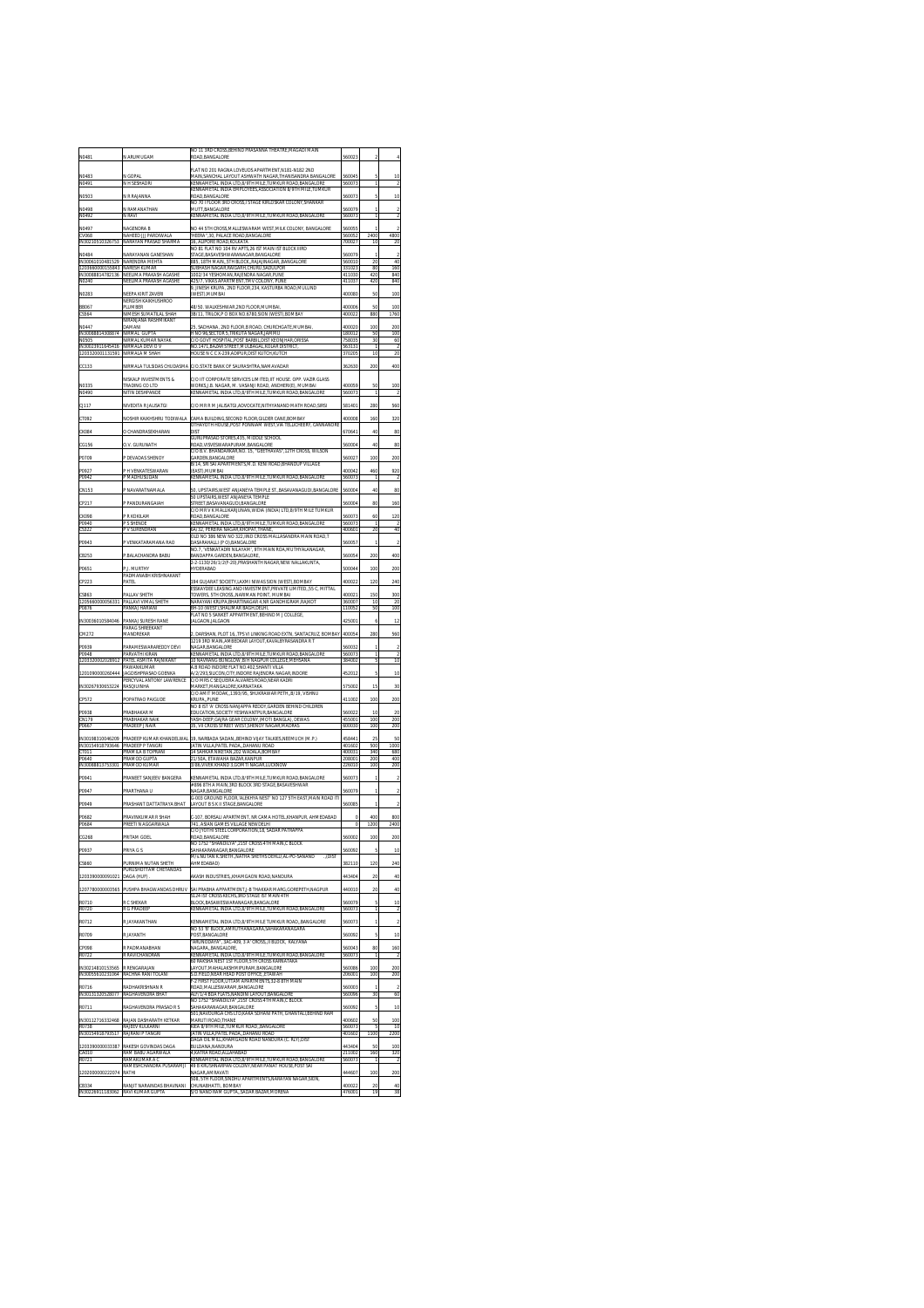| N0481                                                    | N ARUMUGAM                                                           | (O 11 3RD CROSS BEHIND PRASANNA THEATRE MAGADI MAIN<br>ROAD, BANGALORE                                                                             | 560023                     |                          | $\ddot{4}$                     |
|----------------------------------------------------------|----------------------------------------------------------------------|----------------------------------------------------------------------------------------------------------------------------------------------------|----------------------------|--------------------------|--------------------------------|
| N0483                                                    | N GOPAI                                                              | FLAT NO 201 RAGNA LOVEUDS APARTMENT.N181-N182 2ND<br>MAIN, SANCHAL LAYOUT ASHWATH NAGAR, THANISANDRA BANGALORE                                     | 560045                     |                          | 10                             |
| N049<br>N0503                                            | N H SESHADR<br>N R RAJANNA                                           | KENNAMETAL INDIA LTD.8/9TH MILE.TUMKUR ROAD.BANGALORE<br>KENNAMETAL INDIA EMPLOYEES.ASSOCIATION 8/9TH MILE.TUMKUR<br>ROAD BANGALORE                | 560073<br>560073           | 5                        | 10                             |
| N0498                                                    | N RAMANATHAN                                                         | NO 70 I FLOOR 3RD CROSS,I STAGE KIRLOSKAR COLONY,SHANKAR<br>MUTT, BANGALORE                                                                        | 560079                     |                          | $\overline{2}$                 |
| N0492                                                    | V RAVI                                                               | (ENNAMETAL INDIA LTD, 8/9TH MILE<br>TUMKUR ROAD, BANGALOR                                                                                          | 560073                     |                          | $\overline{2}$                 |
| N0497<br>CV068<br>IN30210                                | NAGENDRA B<br>NAHEED III PARDIWALA<br>NARAYAN PRASAD SHARMA          | NO 44 5TH CROSS MALLESWARAM WEST MILK COLONY. BANGALORE<br>'HEERA".30. PALACE ROAD.BANGALORE<br>16, ALIPORE ROAD, KOLKATA                          | 560055<br>560052<br>700027 | 1<br>2400<br>10          | $\overline{2}$<br>4800<br>20   |
| N0484                                                    | NARAYANAN GANESHAN                                                   | VO 81 FLAT NO 104 RV APTS, 26 IST MAIN IST BLOCK IIIRD<br><b>TACE RASAVESHWADAMACAD RANCALOR</b>                                                   | 560079                     |                          | $\overline{2}$                 |
| IN30061010481529<br>1203660000155843<br>IN30088814782136 | NARENDRA MEHTA<br>NARESH KUMAR<br>NEELIMA PRAKASH AGASHE             | 885. 18TH MAIN 5TH BLOCK RAJAJINAGAR BANGALORE<br>SUBHASH NAGAR.RAIGARH.CHURU.SADULPOR<br>1002/34 YESHOMAN, RAJENDRA NAGAR, PUNE                   | 560010<br>331023<br>411030 | 20<br>80<br>420          | 40<br>160<br>840               |
| N0240                                                    | VEELIMA PRAKASH AGASHE                                               | 125/7, VIKAS APARTMENT, TMV COLONY, PUNE<br>9, JINESH KRUPA, 2ND FLOOR,234, KASTURBA ROAD,MULUND                                                   | 411037                     | 420                      | 840                            |
| N0283                                                    | NFFPA KIRIT ZAVFRI<br>NERGISH KAIKHUSHROO                            | (WEST), MUMBAI                                                                                                                                     | 400080                     | 50                       | 100                            |
| <b>BB067</b><br>CS564                                    | <b>LUMBER</b><br>IMESH SUMATILAL SHAH<br>VIRANJANA RASHMIKANT        | 48/50. WALKESHWAR, 2ND FLOOR, MUMBAI<br>3B/11, TRILOK,P O BOX NO.6780,SION (WEST),BOMBAY                                                           | 400006<br>400022           | 50<br>880                | 100<br>1760                    |
| N0447<br>IN30088814308874                                | <b>DAMANI</b><br>VIRMAI GLIPTA                                       | SADHANA<br>2ND FLOOR B ROAD<br>CHURCHGATE, MUMBAI<br>H NO 96.SECTOR 5.TRIKUTA NAGAR.JAMMU                                                          | 400020<br>180012           | 100<br>50                | 200<br>100                     |
| <b>NO505</b><br>IN30023911645416                         | <b>VIRMAL KUMAR NAYAK</b><br>VIRMALA DEVI O V                        | :/O GOVT HOSPITAL, POST BARBIL, DIST KEONJHAR, ORISSA<br>NO.1471, BAZAR STREET, MULBAGAL, KOLAR DISTRICT                                           | 758035<br>563131           | 30                       | 60                             |
| 1203320001131591                                         | NIRMALA M SHAH<br>NIRMALA TULSIDAS CHUDASMA                          | HOUSE N C C X-239, ADIPUR, DIST KUTCH, KUTCH<br>C/O STATE RANK OF SALIRASHTRA NAMAVADAR                                                            | 370205<br>362630           | 10<br>200                | 20<br>400                      |
| CC133                                                    | NISKALP INVESTMENTS &                                                | C/O IIT CORPORATE SERVICES LIMITED, IIT HOUSE. OPP. VAZIR GLASS                                                                                    |                            |                          |                                |
| N0335<br>N0490                                           | TRADING CO LTD<br>NITIN DESHPANDI                                    | WORKS,J.B. NAGAR, M. VASANJI ROAD, ANDHERI(E), MUMBAI<br>KENNAMETAL INDIA LTD,8/9TH MILE,TUMKUR ROAD,BANGALOR                                      | 400059<br>560073           |                          | 100<br>$\overline{2}$          |
| CJ117                                                    | NIVEDITA R JALISATGI                                                 | :/O MR R M JALISATGI,ADVOCATE,NITHYANAND MATH ROAD,SIRSI                                                                                           | 581401                     | 280                      | 560                            |
| CT092                                                    | NOSHIR KAIKHSHRU TODIWALA                                            | CAMA BUILDING, SECOND FLOOR, GILDER CANE, BOMBAY<br>OTHAYOTH HOUSE, POST PONNIAM WEST, VIA TELLICHEERY, CANNANORE                                  | 400008                     | 160                      | 320                            |
| CK0B4                                                    | O CHANDRASEKHARAN                                                    | DIST<br>GURUPRASAD STORES.435. MIDDLE SCHOOL                                                                                                       | 670641                     | 40                       | 80                             |
| CG156                                                    | O.V. GURUNATH<br>DEVADAS SHENOY                                      | ROAD.VISVESWARAPURAM.BANGALORE<br>:/O B.V. BHANDARKAR, NO. 15, "GEETHAVAS", 12TH CROSS, WILSON<br><b>SARDEN.BANGALORE</b>                          | 560004                     | 40                       | 80                             |
| P0709<br>P0927                                           | H VENKATESWARAN                                                      | B/14, SRI SAI APARTMENTS, M.D. KENI ROAD, BHANDUP VILLAGE<br>(EAST).MUMBAI                                                                         | 56002<br>400042            | 100<br>460               | 200<br>920                     |
| P0942                                                    | <b>MADHUSUDAN</b>                                                    | KENNAMETAL INDIA LTD,8/9TH MILE,TUMKUR ROAD,BANGALOR                                                                                               | 560073                     |                          |                                |
| CN153                                                    | P NAVARATNAMALA                                                      | 50. UPSTAIRS.WEST ANJANEYA TEMPLE STBASAVANAGUDI.BANGALORE<br>50 LIPSTAIRS WEST ANIANEYA TEMPLE                                                    | 560004                     | 40                       | 80                             |
| CP217<br><b>CK098</b>                                    | P PANDURANGAIAH<br>P R KOKILAM                                       | STREET.BASAVANAGUDI.BANGALORE<br>C/O MR V K MALLIKARJUNAN,WIDIA (INDIA) LTD,8/9TH MILE TUMKUR<br>ROAD.BANGALORE                                    | 560004<br>560073           | 80<br>60                 | 160<br>120                     |
| P0940<br>CS322                                           | <b>S SHENDE</b><br>P V SURENDRAN                                     | (ENNAMETAL INDIA LTD, 8/9TH MILE, TUMKUR ROAD, BANGALOR<br>6A/32, PEREIRA NAGAR, KHOPAT, THANE                                                     | 560073<br>400601           | 20                       | 40                             |
| P0943                                                    | <sup>&gt;</sup> VENKATARAMANA RAO                                    | OLD NO 386 NEW NO 322.IIND CROSS MALLASANDRA MAIN ROAD.T<br>DASARAHALLI (P O), BANGALORE                                                           | 560057                     |                          | $\overline{2}$                 |
| CB253                                                    | P.BALACHANDRA BABU                                                   | NO.7, 'VENKATADRI NILAYAM', 9TH MAIN ROA,MUTHYALANAGAR<br>BANDAPPA GARDEN, BANGALORE,<br>2-2-1130/26/1/2(F-20), PRASHANTH NAGAR, NEW NALLAKUNTA    | 560054                     | 200                      | 400                            |
| P0651                                                    | P.J. MURTHY<br>PADMANARH KRISHNAKANT                                 | <b>HYDERARAD</b>                                                                                                                                   | 500044                     | 100                      | 200                            |
| CP223                                                    | PATEL                                                                | 194 GUJARAT SOCIETY.LAXMI NIWAS SION (WEST).BOMBAY<br>SSKAYDEE LEASING AND INVESTMENT, PRIVATE LIMITED, 55 C, MITTA                                | 400022                     | 120                      | 240                            |
| CSR63<br>12056600000<br>P0876                            | PALLAV SHETH<br>PALLAVI VIMAL SHETH<br>PANKAJ HARIANI                | TOWERS. 5TH CROSSNARIMAN POINT. MUMBAI<br>NARAYANI KRUPA,BHARTINAGAR 4,NR GANDHIGRAM,RAJKOT<br>BH-10 (WEST).SHALIMAR BAGH.DELHI                    | 400021<br>360007<br>110052 | 150<br>10<br>50          | 300<br>$\overline{20}$<br>100  |
|                                                          |                                                                      | FLAT NO 5 SANKET APPARTMENT, BEHIND M J COLLEGE                                                                                                    |                            |                          |                                |
|                                                          | PANKAJ SURESH RANE                                                   | IALGAON, IALGAON                                                                                                                                   | 425001                     | 6                        | 12                             |
| IN30036010584046<br>CM272                                | PARAG SHREEKANT<br>MANDREKAR                                         | DARSHAN, PLOT 16, TPS VLLINKING ROAD EXTN. SANTACRUZ<br>BOMBAY                                                                                     | 400054                     | 280                      | 560                            |
| P0939                                                    | ARAMESWARAREDDY DEVI                                                 | 1219 3RD MAIN AMBEDKAR LAYOUT.KAVALBYRASANDRA R T<br>VAGAR, BANGALORE                                                                              | 560032                     |                          |                                |
| P0948<br>1203320002028912                                | PARVATHI KIRAN<br>PATEL ASMITA RAJNIKANT<br><b>AWANKI IMAR</b>       | KENNAMETAL INDIA LTD,8/9TH MILE,TUMKUR ROAD,BANGALI<br>10 NAVRANG BUNGLOW, B/H NAGPUR COLLEGE, MEHSANA<br>A.B ROAD INDORE FLAT NO.402.SHANTI VILLA | 560073<br>384002           | 5                        | 10                             |
| 1201090000260444                                         | JAGDISHPRASAD GOENKA<br>PERCYVAL ANTONY LAWRENCE                     | A/2/293.SILICON.CITY.INDORE RAJENDRA NAGAR.INDORE<br>C/O MRS C SEQUEIRA ALVARES ROAD, NEAR KADRI                                                   | 452012                     | 5                        | 10                             |
| IN30267930653224                                         | RASQIUINHA                                                           | <b>MARKET, MANGALORE, KARNATAKA</b><br>C/O AMIT MODAK,,1393/95, SHUKRAWAR PETH,,B/19, VISHNU<br>PUNE<br>KRIIPA                                     | 575002                     | 15                       | 30                             |
| CP572<br>P0938                                           | POPATRAO PAIGUDE<br>RABHAKAR M                                       | NO 8 IST 'A' CROSS NANJAPPA REDDY.GARDEN BEHIND CHILDREN<br>EDUCATION, SOCIETY YESHWANTPUR, BANGALORE                                              | 411002<br>560022           | 100<br>10                | 200<br>20                      |
| CN179<br>P0667                                           | <b><i>PRABHAKAR NAIR</i></b><br>RADEEP J NAIR                        | YASH-DEEP.GAJRA GEAR COLONY.(MOTI BANGLA). DEWAS<br>35, VII CROSS STREET WEST SHENOY NAGAR MADRAS                                                  | 455001<br>600030           | 100<br>100               | 200<br>200                     |
| IN30198310046209                                         | PRADEEP KUMAR KHANDELWAL                                             | 19. NARBADA SADANBEHIND VIJAY TALKIES.NEEMUCH (M.P.)                                                                                               | 458441                     | 25<br>500                | 50                             |
| IN30154918793646                                         | PRADEEP P TANGRI<br><b>RAMILA B TOPRANI</b><br>PRAMOD GUPTA          | JATIN VILLA PATEL PADA. DAHANU ROAD<br>14 SAHKAR NIKETAN, 202 WADALA, BOMBAY<br>21/50A, ETAWAHA BAZAR, KANPUR                                      | 401602<br>400031<br>208001 | 340<br>200               | 1000<br>680<br>400             |
| CT011<br>P0640<br>IN30088813753301                       | <b>RAMOD KUMAR</b>                                                   | 3/86. VIVEK KHAND 3. GOMTI NAGAR LUCKNOW                                                                                                           | 226010                     | 100                      | 200                            |
| P0941                                                    | PRANEET SANJEEV BANGERA                                              | KENNAMETAL INDIA LTD, 8/9TH MILE, TUMKUR ROAD, BANGALORE<br># 896 8TH A MAIN, 3RD BLOCK 3RD STAGE, BASAVESHWAR                                     | 560073                     |                          | $\overline{2}$                 |
| P0947<br>P0949                                           | PRARTHANA U<br>PRASHANT DATTATRAYA BHAT                              | NAGAR, BANGALORE<br>G-003 GROUND FLOOR. ALEKHYA NEST' NO 127 5TH EAST MAIN ROAD ITI<br>LAYOUT B S K II STAGE BANGALORE                             | 560079<br>560085           | 1<br>٦                   | $\overline{\mathbf{z}}$<br>2   |
|                                                          | RAVINKUMAR R SHAH                                                    | -107, BORSALI APARTMENT, NR CAMA HOTEL,KHANPUR, AHMEDABAD                                                                                          | c                          | 400                      | 800                            |
| P0682<br>P0684                                           | PREETI N AGGARWAL                                                    | 741, ASIAN GAMES VILLAGE NEWDELHI<br>C/O JYOTHI STEEL CORPORATION, 18, SADAR PATRAPPA                                                              | $\theta$                   | 1200                     | 2400                           |
| CG268<br>P0937                                           | PRITAM GOEL<br><b>RIYA G S</b>                                       | ROAD, BANGALORE<br>NO 1752 "SHANDILYA".21ST CROSS 4TH MAIN.C BLOCK<br>SAHAKARANAGAR,BANGALORE                                                      | 560002<br>560092           | 100                      | 200<br>10                      |
| CS660                                                    | PURNIMA NUTAN SHETH                                                  | M/s.NUTAN K.SHETH., NATHA SHETHS DEHLU, AL-PO-SANAND<br>.,(DIST<br>AHMEDABAD)                                                                      | 382110                     | 120                      | 240                            |
| 1203390000091021                                         | PURUSHOTTAM CHETANDAS<br>DAGA (HUF)                                  | AKASH INDUSTRIESKHAMGAON ROAD.NANDURA                                                                                                              | 443404                     | 20                       | 40                             |
| 1207780000003565                                         | PUSHPA BHAGWANDAS DHRUV                                              | SAI PRABHA APPARTMENT,J-B THAKKAR MARG,GOREPETH,NAGPUR<br>S124 IST CROSS KECHS, 3RD STAGE IST MAIN 4TH                                             | 440010                     | 20                       | 40                             |
| R0710<br>R0720                                           | R C SHEKAR<br><b>R G PRADEEP</b>                                     | <b>BLOCK BASAWESWARANAGAR BANGALORE</b><br>KENNAMETAL INDIA LTD.8/9TH MILE.TUMKUR ROAD.BANGALORE                                                   | 560079<br>560073           | $\overline{5}$<br>Ŧ      | 10<br>$\overline{\mathbf{z}}$  |
| R0712                                                    | R JAYAKANTHAN                                                        | KENNAMETAL INDIA LTD, 8/9TH MILE TUMKUR ROAD, BANGALORE<br>NO 53 'B' BLOCK, AMRUTHANAGARA, SAHAKARANAGARA                                          | 560073                     | f,                       | $\overline{a}$                 |
| R0709                                                    | R JAYANTH                                                            | DOST RANCALODE<br>ARUNODAYA", 3AC-409, 3'A' CROSS, II BLOCK, KALYANA                                                                               | 560092                     | $\overline{\phantom{a}}$ | 10                             |
| CP098<br>R0722                                           | R PADMANABHAN<br>R RAVICHANDRAN                                      | NAGARABANGALORE<br>KENNAMETAL INDIA LTD,8/9TH MILE,TUMKUR ROAD,BANGALOR                                                                            | 560043<br>560073           | 80                       | 160<br>$\overline{\mathbf{z}}$ |
| IN30214810153565                                         | <b>RENGARAJAN</b>                                                    | <b>50 RAKSHA NEST 1ST FLOOR,5TH CROSS KARNATAKA</b><br>AYOUT, MAHALAKSHMIPURAM, BANGALORE<br><b>S.D.FIELD NEAR HEAD POST OFFICE, ETAWAH</b>        | 60086<br>206001            | 100<br>100               | 200                            |
| IN30055610231064<br>R0716                                | RACHNA RANI TOLANI<br>ADHAKRISHNAN F                                 | -2 FIRST FLOOR UTTAM APARTMENTS 32-8 8TH MAIN<br>OAD, MALLESWARAM, BANGALORE                                                                       | 560003                     |                          | 200                            |
| IN30131320528077                                         | RAGHAVENDRA BHAT                                                     | NLF/1/4 BDA FLATS,NANDINI LAYOUT,BANGALORE<br>NO 1752 "SHANDILYA",21ST CROSS 4TH MAIN,C BLOCK                                                      | 560096                     | 30                       | 60                             |
| R0711                                                    | RAGHAVENDRA PRASAD R S                                               | AHAKARANAGAR RANGALORE<br>501. NAVDURGA CHS LTD. KAKA SOHANI PATH. GHANTALI.BEHIND RAM<br>MARUTI ROAD, THANE                                       | 560092<br>400602           | 5<br>50                  | 10<br>100                      |
| IN30112716332468<br>R0738<br>IN30154918793517            | RAJAN DASHARATH KETKAR<br>RAJEEV KULKARNI<br>RAJRANI P TANGRI        | KIEA 8/9TH MILE, TUMKUR ROAD, BANGALORE<br>JATIN VILLA,PATEL PADA, DAHANU ROAD                                                                     | 560073<br>401602           | 1100                     | 10<br>2200                     |
| 1203390000033387                                         | RAKESH GOVINDAS DAGA                                                 | DAGA OIL MILL, KHAMGAON ROAD NANDURA (C. RLY), DIST<br>BULDANA.NANDURA                                                                             | 443404                     | 50                       | 100                            |
| CA010<br>R0721                                           | RAM BABU AGARWALA<br>RAMAKUMAR A (<br><b>RAMESHCHANDRA PUSARAMJI</b> | 4.KATRA ROAD.ALLAHABAD<br>KENNAMETAL INDIA LTD,8/9TH MILE,TUMKUR ROAD,BANGALORI<br>49 B KRUSHNARPAN COLONY, NEAR PANAT HOUSE, POST SAI             | 211002<br>56007            | 160                      | 320<br>$\overline{\mathbf{z}}$ |
| 1202000000222074<br>CB334<br>IN30226911183062            | HTAS<br>RANJIT NARAIN <u>DAS BHAVNANI</u>                            | NAGAR AMRAVATI<br>508. STH FLOOR SINDHU APARTMENTS NARAYAN NAGAR SION.<br><b>CHUNABHATTI, BOMBAY</b>                                               | 444607<br>400022           | 100<br>20                | 200<br>40                      |